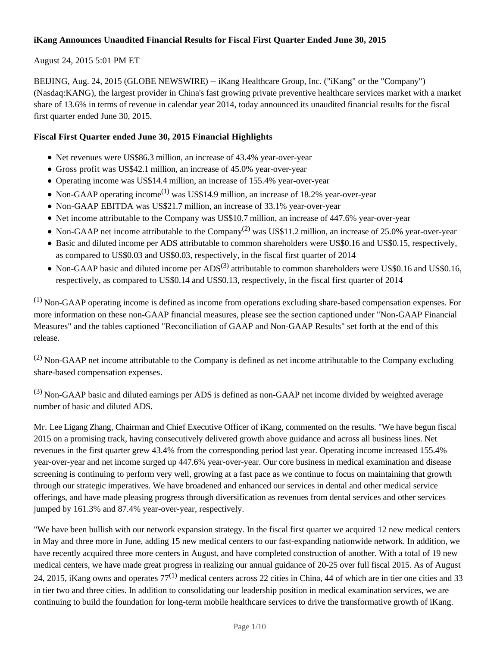## **iKang Announces Unaudited Financial Results for Fiscal First Quarter Ended June 30, 2015**

## August 24, 2015 5:01 PM ET

BEIJING, Aug. 24, 2015 (GLOBE NEWSWIRE) -- iKang Healthcare Group, Inc. ("iKang" or the "Company") (Nasdaq:KANG), the largest provider in China's fast growing private preventive healthcare services market with a market share of 13.6% in terms of revenue in calendar year 2014, today announced its unaudited financial results for the fiscal first quarter ended June 30, 2015.

## **Fiscal First Quarter ended June 30, 2015 Financial Highlights**

- Net revenues were US\$86.3 million, an increase of 43.4% year-over-year
- Gross profit was US\$42.1 million, an increase of 45.0% year-over-year
- Operating income was US\$14.4 million, an increase of 155.4% year-over-year
- Non-GAAP operating income<sup>(1)</sup> was US\$14.9 million, an increase of 18.2% year-over-year
- Non-GAAP EBITDA was US\$21.7 million, an increase of 33.1% year-over-year
- Net income attributable to the Company was US\$10.7 million, an increase of 447.6% year-over-year
- Non-GAAP net income attributable to the Company<sup>(2)</sup> was US\$11.2 million, an increase of 25.0% year-over-year
- Basic and diluted income per ADS attributable to common shareholders were US\$0.16 and US\$0.15, respectively, as compared to US\$0.03 and US\$0.03, respectively, in the fiscal first quarter of 2014
- Non-GAAP basic and diluted income per  $ADS^{(3)}$  attributable to common shareholders were US\$0.16 and US\$0.16, respectively, as compared to US\$0.14 and US\$0.13, respectively, in the fiscal first quarter of 2014

 $(1)$  Non-GAAP operating income is defined as income from operations excluding share-based compensation expenses. For more information on these non-GAAP financial measures, please see the section captioned under "Non-GAAP Financial Measures" and the tables captioned "Reconciliation of GAAP and Non-GAAP Results" set forth at the end of this release.

 $(2)$  Non-GAAP net income attributable to the Company is defined as net income attributable to the Company excluding share-based compensation expenses.

<sup>(3)</sup> Non-GAAP basic and diluted earnings per ADS is defined as non-GAAP net income divided by weighted average number of basic and diluted ADS.

Mr. Lee Ligang Zhang, Chairman and Chief Executive Officer of iKang, commented on the results. "We have begun fiscal 2015 on a promising track, having consecutively delivered growth above guidance and across all business lines. Net revenues in the first quarter grew 43.4% from the corresponding period last year. Operating income increased 155.4% year-over-year and net income surged up 447.6% year-over-year. Our core business in medical examination and disease screening is continuing to perform very well, growing at a fast pace as we continue to focus on maintaining that growth through our strategic imperatives. We have broadened and enhanced our services in dental and other medical service offerings, and have made pleasing progress through diversification as revenues from dental services and other services jumped by 161.3% and 87.4% year-over-year, respectively.

"We have been bullish with our network expansion strategy. In the fiscal first quarter we acquired 12 new medical centers in May and three more in June, adding 15 new medical centers to our fast-expanding nationwide network. In addition, we have recently acquired three more centers in August, and have completed construction of another. With a total of 19 new medical centers, we have made great progress in realizing our annual guidance of 20-25 over full fiscal 2015. As of August 24, 2015, iKang owns and operates  $77^{(1)}$  medical centers across 22 cities in China, 44 of which are in tier one cities and 33 in tier two and three cities. In addition to consolidating our leadership position in medical examination services, we are continuing to build the foundation for long-term mobile healthcare services to drive the transformative growth of iKang.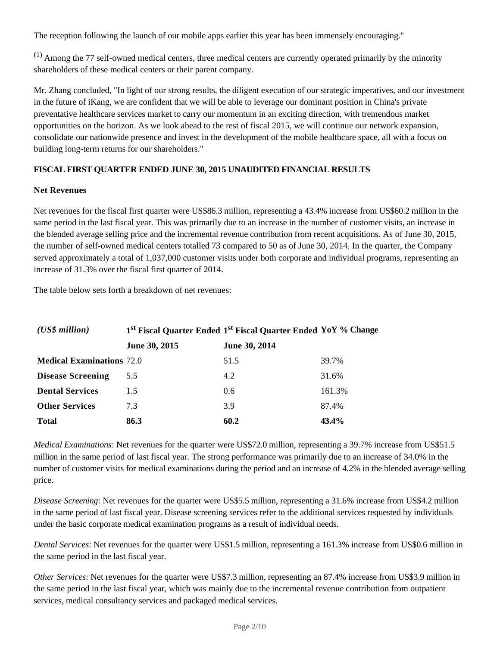The reception following the launch of our mobile apps earlier this year has been immensely encouraging."

 $(1)$  Among the 77 self-owned medical centers, three medical centers are currently operated primarily by the minority shareholders of these medical centers or their parent company.

Mr. Zhang concluded, "In light of our strong results, the diligent execution of our strategic imperatives, and our investment in the future of iKang, we are confident that we will be able to leverage our dominant position in China's private preventative healthcare services market to carry our momentum in an exciting direction, with tremendous market opportunities on the horizon. As we look ahead to the rest of fiscal 2015, we will continue our network expansion, consolidate our nationwide presence and invest in the development of the mobile healthcare space, all with a focus on building long-term returns for our shareholders."

## **FISCAL FIRST QUARTER ENDED JUNE 30, 2015 UNAUDITED FINANCIAL RESULTS**

## **Net Revenues**

Net revenues for the fiscal first quarter were US\$86.3 million, representing a 43.4% increase from US\$60.2 million in the same period in the last fiscal year. This was primarily due to an increase in the number of customer visits, an increase in the blended average selling price and the incremental revenue contribution from recent acquisitions*.* As of June 30, 2015, the number of self-owned medical centers totalled 73 compared to 50 as of June 30, 2014. In the quarter, the Company served approximately a total of 1,037,000 customer visits under both corporate and individual programs, representing an increase of 31.3% over the fiscal first quarter of 2014.

The table below sets forth a breakdown of net revenues:

| $(US\$ s million                 |               | 1 <sup>st</sup> Fiscal Quarter Ended 1 <sup>st</sup> Fiscal Quarter Ended YoY % Change |        |  |
|----------------------------------|---------------|----------------------------------------------------------------------------------------|--------|--|
|                                  | June 30, 2015 | June 30, 2014                                                                          |        |  |
| <b>Medical Examinations 72.0</b> |               | 51.5                                                                                   | 39.7%  |  |
| <b>Disease Screening</b>         | 5.5           | 4.2                                                                                    | 31.6%  |  |
| <b>Dental Services</b>           | 1.5           | 0.6                                                                                    | 161.3% |  |
| <b>Other Services</b>            | 7.3           | 3.9                                                                                    | 87.4%  |  |
| <b>Total</b>                     | 86.3          | 60.2                                                                                   | 43.4%  |  |

*Medical Examinations*: Net revenues for the quarter were US\$72.0 million, representing a 39.7% increase from US\$51.5 million in the same period of last fiscal year. The strong performance was primarily due to an increase of 34.0% in the number of customer visits for medical examinations during the period and an increase of 4.2% in the blended average selling price.

*Disease Screening*: Net revenues for the quarter were US\$5.5 million, representing a 31.6% increase from US\$4.2 million in the same period of last fiscal year. Disease screening services refer to the additional services requested by individuals under the basic corporate medical examination programs as a result of individual needs.

*Dental Services*: Net revenues for the quarter were US\$1.5 million, representing a 161.3% increase from US\$0.6 million in the same period in the last fiscal year.

*Other Services*: Net revenues for the quarter were US\$7.3 million, representing an 87.4% increase from US\$3.9 million in the same period in the last fiscal year, which was mainly due to the incremental revenue contribution from outpatient services, medical consultancy services and packaged medical services.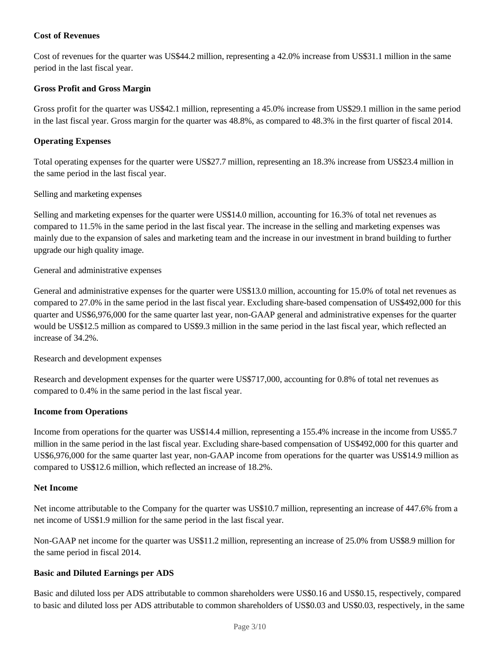## **Cost of Revenues**

Cost of revenues for the quarter was US\$44.2 million, representing a 42.0% increase from US\$31.1 million in the same period in the last fiscal year.

#### **Gross Profit and Gross Margin**

Gross profit for the quarter was US\$42.1 million, representing a 45.0% increase from US\$29.1 million in the same period in the last fiscal year. Gross margin for the quarter was 48.8%, as compared to 48.3% in the first quarter of fiscal 2014.

#### **Operating Expenses**

Total operating expenses for the quarter were US\$27.7 million, representing an 18.3% increase from US\$23.4 million in the same period in the last fiscal year.

#### Selling and marketing expenses

Selling and marketing expenses for the quarter were US\$14.0 million, accounting for 16.3% of total net revenues as compared to 11.5% in the same period in the last fiscal year. The increase in the selling and marketing expenses was mainly due to the expansion of sales and marketing team and the increase in our investment in brand building to further upgrade our high quality image.

#### General and administrative expenses

General and administrative expenses for the quarter were US\$13.0 million, accounting for 15.0% of total net revenues as compared to 27.0% in the same period in the last fiscal year. Excluding share-based compensation of US\$492,000 for this quarter and US\$6,976,000 for the same quarter last year, non-GAAP general and administrative expenses for the quarter would be US\$12.5 million as compared to US\$9.3 million in the same period in the last fiscal year, which reflected an increase of 34.2%.

#### Research and development expenses

Research and development expenses for the quarter were US\$717,000, accounting for 0.8% of total net revenues as compared to 0.4% in the same period in the last fiscal year.

#### **Income from Operations**

Income from operations for the quarter was US\$14.4 million, representing a 155.4% increase in the income from US\$5.7 million in the same period in the last fiscal year. Excluding share-based compensation of US\$492,000 for this quarter and US\$6,976,000 for the same quarter last year, non-GAAP income from operations for the quarter was US\$14.9 million as compared to US\$12.6 million, which reflected an increase of 18.2%.

#### **Net Income**

Net income attributable to the Company for the quarter was US\$10.7 million, representing an increase of 447.6% from a net income of US\$1.9 million for the same period in the last fiscal year.

Non-GAAP net income for the quarter was US\$11.2 million, representing an increase of 25.0% from US\$8.9 million for the same period in fiscal 2014.

#### **Basic and Diluted Earnings per ADS**

Basic and diluted loss per ADS attributable to common shareholders were US\$0.16 and US\$0.15, respectively, compared to basic and diluted loss per ADS attributable to common shareholders of US\$0.03 and US\$0.03, respectively, in the same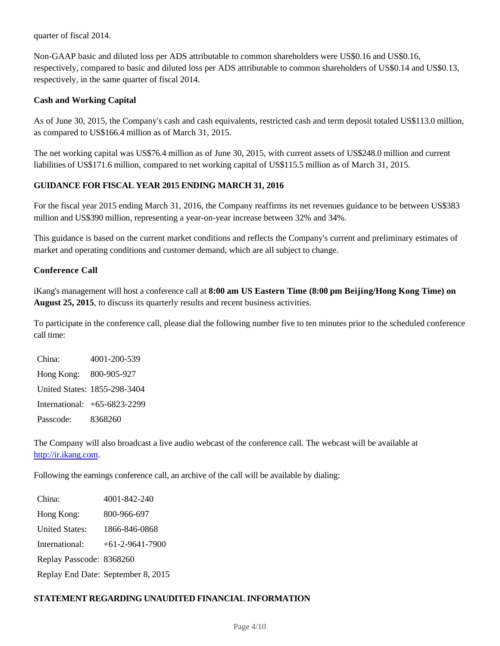quarter of fiscal 2014.

Non-GAAP basic and diluted loss per ADS attributable to common shareholders were US\$0.16 and US\$0.16, respectively, compared to basic and diluted loss per ADS attributable to common shareholders of US\$0.14 and US\$0.13, respectively, in the same quarter of fiscal 2014.

#### **Cash and Working Capital**

As of June 30, 2015, the Company's cash and cash equivalents, restricted cash and term deposit totaled US\$113.0 million, as compared to US\$166.4 million as of March 31, 2015.

The net working capital was US\$76.4 million as of June 30, 2015, with current assets of US\$248.0 million and current liabilities of US\$171.6 million, compared to net working capital of US\$115.5 million as of March 31, 2015.

### **GUIDANCE FOR FISCAL YEAR 2015 ENDING MARCH 31, 2016**

For the fiscal year 2015 ending March 31, 2016, the Company reaffirms its net revenues guidance to be between US\$383 million and US\$390 million, representing a year-on-year increase between 32% and 34%.

This guidance is based on the current market conditions and reflects the Company's current and preliminary estimates of market and operating conditions and customer demand, which are all subject to change.

#### **Conference Call**

iKang's management will host a conference call at **8:00 am US Eastern Time (8:00 pm Beijing/Hong Kong Time) on August 25, 2015**, to discuss its quarterly results and recent business activities.

To participate in the conference call, please dial the following number five to ten minutes prior to the scheduled conference call time:

China: 4001-200-539 Hong Kong: 800-905-927 United States: 1855-298-3404 International: +65-6823-2299 Passcode: 8368260

The Company will also broadcast a live audio webcast of the conference call. The webcast will be available at http://ir.ikang.com.

Following the earnings conference call, an archive of the call will be available by dialing:

China: 4001-842-240 Hong Kong: 800-966-697 United States: 1866-846-0868 International: +61-2-9641-7900 Replay Passcode: 8368260 Replay End Date: September 8, 2015

#### **STATEMENT REGARDING UNAUDITED FINANCIAL INFORMATION**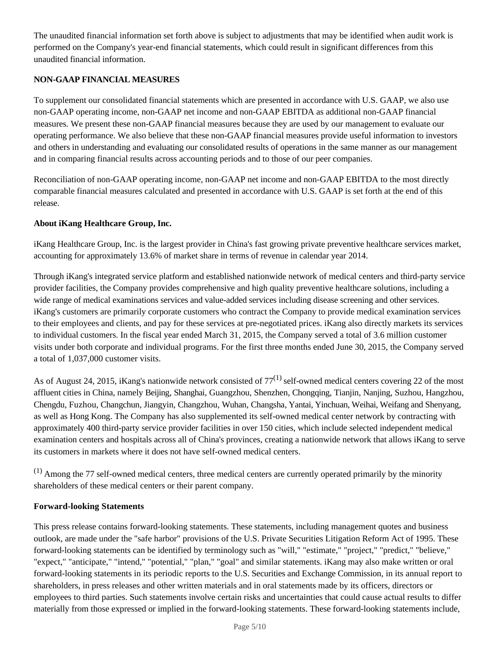The unaudited financial information set forth above is subject to adjustments that may be identified when audit work is performed on the Company's year-end financial statements, which could result in significant differences from this unaudited financial information.

## **NON-GAAP FINANCIAL MEASURES**

To supplement our consolidated financial statements which are presented in accordance with U.S. GAAP, we also use non-GAAP operating income, non-GAAP net income and non-GAAP EBITDA as additional non-GAAP financial measures. We present these non-GAAP financial measures because they are used by our management to evaluate our operating performance. We also believe that these non-GAAP financial measures provide useful information to investors and others in understanding and evaluating our consolidated results of operations in the same manner as our management and in comparing financial results across accounting periods and to those of our peer companies.

Reconciliation of non-GAAP operating income, non-GAAP net income and non-GAAP EBITDA to the most directly comparable financial measures calculated and presented in accordance with U.S. GAAP is set forth at the end of this release.

### **About iKang Healthcare Group, Inc.**

iKang Healthcare Group, Inc. is the largest provider in China's fast growing private preventive healthcare services market, accounting for approximately 13.6% of market share in terms of revenue in calendar year 2014.

Through iKang's integrated service platform and established nationwide network of medical centers and third-party service provider facilities, the Company provides comprehensive and high quality preventive healthcare solutions, including a wide range of medical examinations services and value-added services including disease screening and other services. iKang's customers are primarily corporate customers who contract the Company to provide medical examination services to their employees and clients, and pay for these services at pre-negotiated prices. iKang also directly markets its services to individual customers. In the fiscal year ended March 31, 2015, the Company served a total of 3.6 million customer visits under both corporate and individual programs. For the first three months ended June 30, 2015, the Company served a total of 1,037,000 customer visits.

As of August 24, 2015, iKang's nationwide network consisted of  $77^{(1)}$  self-owned medical centers covering 22 of the most affluent cities in China, namely Beijing, Shanghai, Guangzhou, Shenzhen, Chongqing, Tianjin, Nanjing, Suzhou, Hangzhou, Chengdu, Fuzhou, Changchun, Jiangyin, Changzhou, Wuhan, Changsha, Yantai, Yinchuan, Weihai, Weifang and Shenyang, as well as Hong Kong. The Company has also supplemented its self-owned medical center network by contracting with approximately 400 third-party service provider facilities in over 150 cities, which include selected independent medical examination centers and hospitals across all of China's provinces, creating a nationwide network that allows iKang to serve its customers in markets where it does not have self-owned medical centers.

 $(1)$  Among the 77 self-owned medical centers, three medical centers are currently operated primarily by the minority shareholders of these medical centers or their parent company.

#### **Forward-looking Statements**

This press release contains forward-looking statements. These statements, including management quotes and business outlook, are made under the "safe harbor" provisions of the U.S. Private Securities Litigation Reform Act of 1995. These forward-looking statements can be identified by terminology such as "will," "estimate," "project," "predict," "believe," "expect," "anticipate," "intend," "potential," "plan," "goal" and similar statements. iKang may also make written or oral forward-looking statements in its periodic reports to the U.S. Securities and Exchange Commission, in its annual report to shareholders, in press releases and other written materials and in oral statements made by its officers, directors or employees to third parties. Such statements involve certain risks and uncertainties that could cause actual results to differ materially from those expressed or implied in the forward-looking statements. These forward-looking statements include,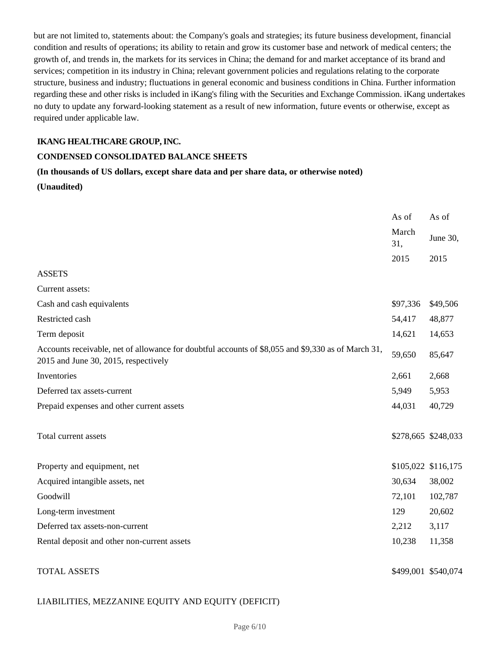but are not limited to, statements about: the Company's goals and strategies; its future business development, financial condition and results of operations; its ability to retain and grow its customer base and network of medical centers; the growth of, and trends in, the markets for its services in China; the demand for and market acceptance of its brand and services; competition in its industry in China; relevant government policies and regulations relating to the corporate structure, business and industry; fluctuations in general economic and business conditions in China. Further information regarding these and other risks is included in iKang's filing with the Securities and Exchange Commission. iKang undertakes no duty to update any forward-looking statement as a result of new information, future events or otherwise, except as required under applicable law.

## **IKANG HEALTHCARE GROUP, INC.**

#### **CONDENSED CONSOLIDATED BALANCE SHEETS**

## **(In thousands of US dollars, except share data and per share data, or otherwise noted) (Unaudited)**

|                                                                                                                                            | As of        | As of               |
|--------------------------------------------------------------------------------------------------------------------------------------------|--------------|---------------------|
|                                                                                                                                            | March<br>31, | June 30,            |
|                                                                                                                                            | 2015         | 2015                |
| <b>ASSETS</b>                                                                                                                              |              |                     |
| Current assets:                                                                                                                            |              |                     |
| Cash and cash equivalents                                                                                                                  | \$97,336     | \$49,506            |
| Restricted cash                                                                                                                            | 54,417       | 48,877              |
| Term deposit                                                                                                                               | 14,621       | 14,653              |
| Accounts receivable, net of allowance for doubtful accounts of \$8,055 and \$9,330 as of March 31,<br>2015 and June 30, 2015, respectively | 59,650       | 85,647              |
| Inventories                                                                                                                                | 2,661        | 2,668               |
| Deferred tax assets-current                                                                                                                | 5,949        | 5,953               |
| Prepaid expenses and other current assets                                                                                                  | 44,031       | 40,729              |
| Total current assets                                                                                                                       |              | \$278,665 \$248,033 |
| Property and equipment, net                                                                                                                |              | \$105,022 \$116,175 |
| Acquired intangible assets, net                                                                                                            | 30,634       | 38,002              |
| Goodwill                                                                                                                                   | 72,101       | 102,787             |
| Long-term investment                                                                                                                       | 129          | 20,602              |
| Deferred tax assets-non-current                                                                                                            | 2,212        | 3,117               |
| Rental deposit and other non-current assets                                                                                                | 10,238       | 11,358              |
| <b>TOTAL ASSETS</b>                                                                                                                        |              | \$499,001 \$540,074 |

## LIABILITIES, MEZZANINE EQUITY AND EQUITY (DEFICIT)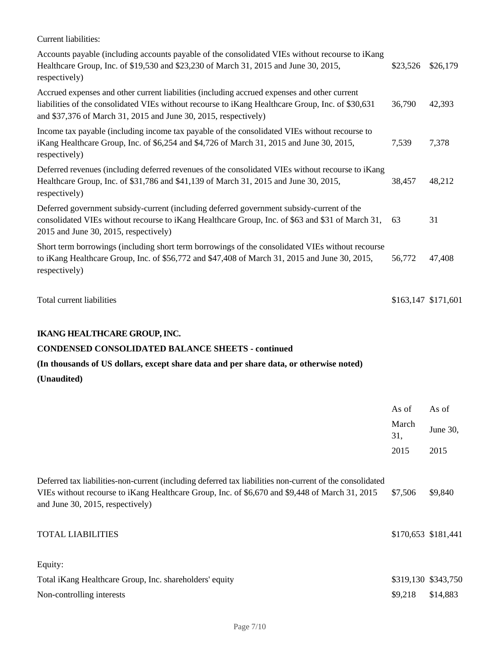| Current liabilities:                                                                                                                                                                                                                                                 |              |                     |
|----------------------------------------------------------------------------------------------------------------------------------------------------------------------------------------------------------------------------------------------------------------------|--------------|---------------------|
| Accounts payable (including accounts payable of the consolidated VIEs without recourse to iKang<br>Healthcare Group, Inc. of \$19,530 and \$23,230 of March 31, 2015 and June 30, 2015,<br>respectively)                                                             | \$23,526     | \$26,179            |
| Accrued expenses and other current liabilities (including accrued expenses and other current<br>liabilities of the consolidated VIEs without recourse to iKang Healthcare Group, Inc. of \$30,631<br>and \$37,376 of March 31, 2015 and June 30, 2015, respectively) | 36,790       | 42,393              |
| Income tax payable (including income tax payable of the consolidated VIEs without recourse to<br>iKang Healthcare Group, Inc. of \$6,254 and \$4,726 of March 31, 2015 and June 30, 2015,<br>respectively)                                                           | 7,539        | 7,378               |
| Deferred revenues (including deferred revenues of the consolidated VIEs without recourse to iKang<br>Healthcare Group, Inc. of \$31,786 and \$41,139 of March 31, 2015 and June 30, 2015,<br>respectively)                                                           | 38,457       | 48,212              |
| Deferred government subsidy-current (including deferred government subsidy-current of the<br>consolidated VIEs without recourse to iKang Healthcare Group, Inc. of \$63 and \$31 of March 31,<br>2015 and June 30, 2015, respectively)                               | 63           | 31                  |
| Short term borrowings (including short term borrowings of the consolidated VIEs without recourse<br>to iKang Healthcare Group, Inc. of \$56,772 and \$47,408 of March 31, 2015 and June 30, 2015,<br>respectively)                                                   | 56,772       | 47,408              |
| Total current liabilities                                                                                                                                                                                                                                            |              | \$163,147 \$171,601 |
| <b>IKANG HEALTHCARE GROUP, INC.</b>                                                                                                                                                                                                                                  |              |                     |
| <b>CONDENSED CONSOLIDATED BALANCE SHEETS - continued</b>                                                                                                                                                                                                             |              |                     |
| (In thousands of US dollars, except share data and per share data, or otherwise noted)                                                                                                                                                                               |              |                     |
| (Unaudited)                                                                                                                                                                                                                                                          |              |                     |
|                                                                                                                                                                                                                                                                      | As of        | As of               |
|                                                                                                                                                                                                                                                                      | March<br>31, | June 30,            |
|                                                                                                                                                                                                                                                                      | 2015         | 2015                |
| Deferred tax liabilities-non-current (including deferred tax liabilities non-current of the consolidated<br>VIEs without recourse to iKang Healthcare Group, Inc. of \$6,670 and \$9,448 of March 31, 2015<br>and June 30, 2015, respectively)                       | \$7,506      | \$9,840             |
| <b>TOTAL LIABILITIES</b>                                                                                                                                                                                                                                             |              | \$170,653 \$181,441 |
| Equity:                                                                                                                                                                                                                                                              |              |                     |
|                                                                                                                                                                                                                                                                      |              |                     |
| Total iKang Healthcare Group, Inc. shareholders' equity                                                                                                                                                                                                              |              | \$319,130 \$343,750 |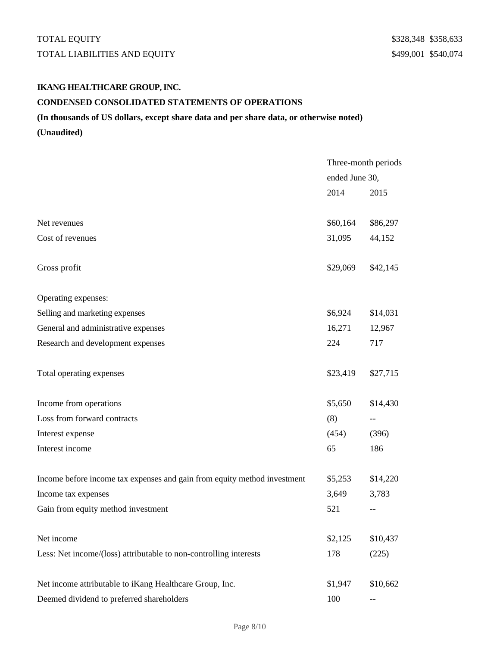# TOTAL EQUITY STRING TO THE SERVICE OF STRING STRING STRING STRING STRING STRING STRING STRING STRING STRING STRING STRING STRING STRING STRING STRING STRING STRING STRING STRING STRING STRING STRING STRING STRING STRING ST TOTAL LIABILITIES AND EQUITY **\$499,001 \$540,074**

# **IKANG HEALTHCARE GROUP, INC. CONDENSED CONSOLIDATED STATEMENTS OF OPERATIONS**

## **(In thousands of US dollars, except share data and per share data, or otherwise noted) (Unaudited)**

Three-month periods ended June 30, 2014 2015 Net revenues  $$60,164$   $$86,297$ Cost of revenues 31,095 44,152 Gross profit \$29,069 \$42,145 Operating expenses: Selling and marketing expenses  $$6,924$  \$14,031 General and administrative expenses 16,271 12,967 Research and development expenses 224 717 Total operating expenses  $$23,419$  \$27,715 Income from operations  $$5,650$  \$14,430 Loss from forward contracts (8) --Interest expense (454) (396) Interest income 65 186 Income before income tax expenses and gain from equity method investment \$5,253 \$14,220 Income tax expenses 3,649 3,783 Gain from equity method investment 521 --Net income \$2,125 \$10,437 Less: Net income/(loss) attributable to non-controlling interests 178 (225) Net income attributable to iKang Healthcare Group, Inc.  $$1,947$   $$10,662$ Deemed dividend to preferred shareholders 100 --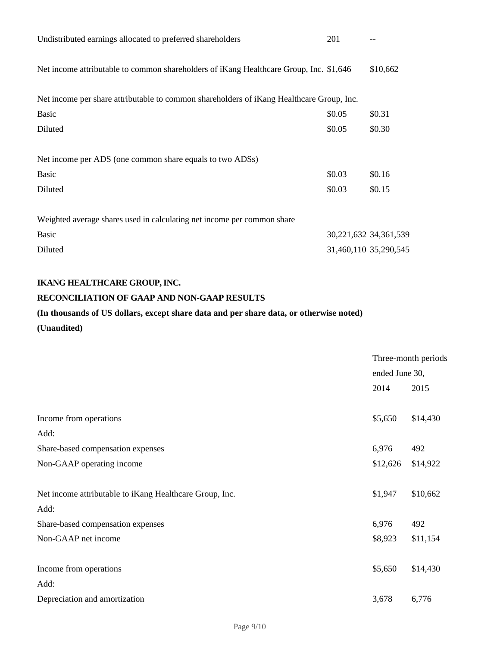| Undistributed earnings allocated to preferred shareholders                               | 201    |                       |
|------------------------------------------------------------------------------------------|--------|-----------------------|
| Net income attributable to common shareholders of iKang Healthcare Group, Inc. \$1,646   |        | \$10,662              |
| Net income per share attributable to common shareholders of iKang Healthcare Group, Inc. |        |                       |
| <b>Basic</b>                                                                             | \$0.05 | \$0.31                |
| Diluted                                                                                  | \$0.05 | \$0.30                |
| Net income per ADS (one common share equals to two ADSs)                                 |        |                       |
| <b>Basic</b>                                                                             | \$0.03 | \$0.16                |
| Diluted                                                                                  | \$0.03 | \$0.15                |
| Weighted average shares used in calculating net income per common share                  |        |                       |
| <b>Basic</b>                                                                             |        | 30,221,632 34,361,539 |
| Diluted                                                                                  |        | 31,460,110 35,290,545 |

## **IKANG HEALTHCARE GROUP, INC.**

## **RECONCILIATION OF GAAP AND NON-GAAP RESULTS**

# **(In thousands of US dollars, except share data and per share data, or otherwise noted) (Unaudited)**

|                                                         | Three-month periods |          |
|---------------------------------------------------------|---------------------|----------|
|                                                         | ended June 30,      |          |
|                                                         | 2014                | 2015     |
| Income from operations                                  | \$5,650             | \$14,430 |
| Add:                                                    |                     |          |
| Share-based compensation expenses                       | 6,976               | 492      |
| Non-GAAP operating income                               | \$12,626            | \$14,922 |
| Net income attributable to iKang Healthcare Group, Inc. | \$1,947             | \$10,662 |
| Add:                                                    |                     |          |
| Share-based compensation expenses                       | 6,976               | 492      |
| Non-GAAP net income                                     | \$8,923             | \$11,154 |
| Income from operations                                  | \$5,650             | \$14,430 |
| Add:                                                    |                     |          |
| Depreciation and amortization                           | 3,678               | 6,776    |